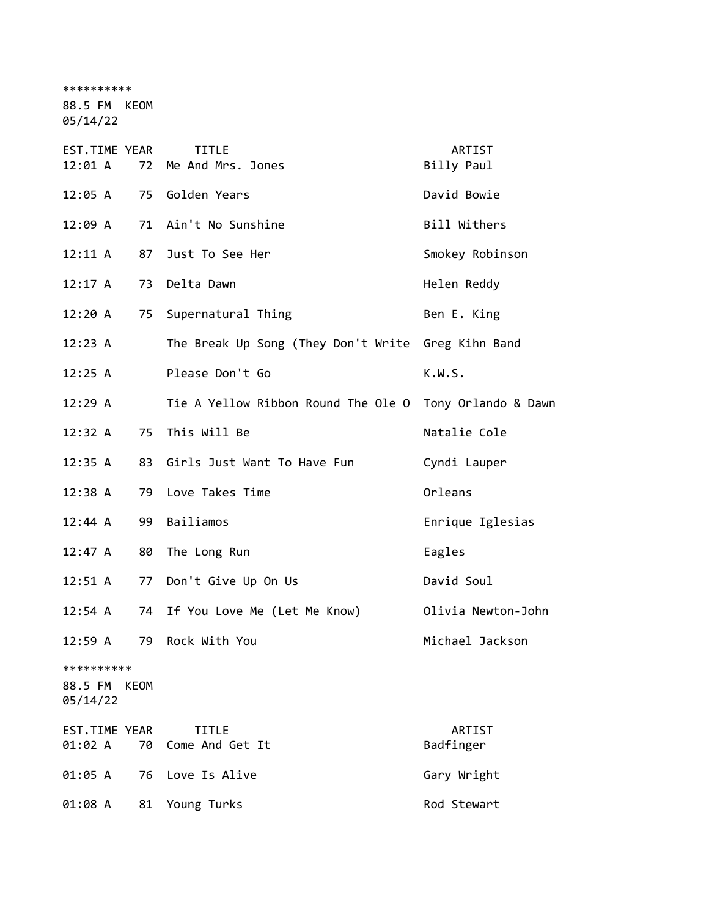\*\*\*\*\*\*\*\*\*\*

88.5 FM KEOM

05/14/22

| EST.TIME YEAR<br>12:01 A          | 72   | <b>TITLE</b><br>Me And Mrs. Jones                       | ARTIST<br>Billy Paul |
|-----------------------------------|------|---------------------------------------------------------|----------------------|
|                                   |      | 12:05 A 75 Golden Years                                 | David Bowie          |
| 12:09 A                           |      | 71 Ain't No Sunshine                                    | Bill Withers         |
| 12:11 A                           | 87   | Just To See Her                                         | Smokey Robinson      |
| 12:17 A                           | 73   | Delta Dawn                                              | Helen Reddy          |
| 12:20 A                           |      | 75 Supernatural Thing                                   | Ben E. King          |
| 12:23 A                           |      | The Break Up Song (They Don't Write Greg Kihn Band      |                      |
| 12:25 A                           |      | Please Don't Go                                         | K.W.S.               |
| 12:29 A                           |      | Tie A Yellow Ribbon Round The Ole O Tony Orlando & Dawn |                      |
| 12:32 A                           | 75   | This Will Be                                            | Natalie Cole         |
| 12:35 A                           | 83   | Girls Just Want To Have Fun                             | Cyndi Lauper         |
| 12:38 A                           | 79   | Love Takes Time                                         | Orleans              |
|                                   |      | Bailiamos                                               | Enrique Iglesias     |
| 12:44 A                           | 99   |                                                         |                      |
| 12:47 A                           | 80   | The Long Run                                            | Eagles               |
| 12:51 A                           | 77   | Don't Give Up On Us                                     | David Soul           |
| 12:54 A                           |      | 74 If You Love Me (Let Me Know)                         | Olivia Newton-John   |
| 12:59A                            | 79   | Rock With You                                           | Michael Jackson      |
| **********<br>88.5 FM<br>05/14/22 | KEOM |                                                         |                      |
| EST.TIME YEAR                     |      | <b>TITLE</b>                                            | ARTIST               |
| 01:02 A                           | 70   | Come And Get It                                         | Badfinger            |
| 01:05 A                           | 76   | Love Is Alive                                           | Gary Wright          |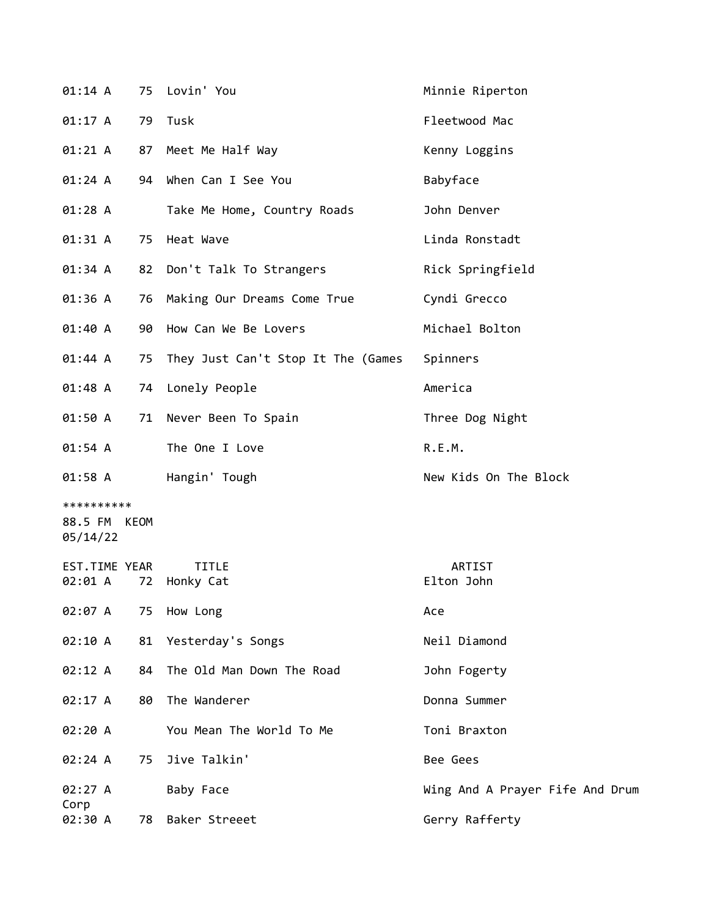| 01:14 A                                |    | 75 Lovin' You                      | Minnie Riperton                 |
|----------------------------------------|----|------------------------------------|---------------------------------|
| 01:17 A                                |    | 79 Tusk                            | Fleetwood Mac                   |
| 01:21 A                                | 87 | Meet Me Half Way                   | Kenny Loggins                   |
| 01:24 A                                |    | 94 When Can I See You              | Babyface                        |
| 01:28A                                 |    | Take Me Home, Country Roads        | John Denver                     |
| 01:31 A                                | 75 | Heat Wave                          | Linda Ronstadt                  |
| 01:34 A                                |    | 82 Don't Talk To Strangers         | Rick Springfield                |
| 01:36 A                                | 76 | Making Our Dreams Come True        | Cyndi Grecco                    |
| 01:40 A                                | 90 | How Can We Be Lovers               | Michael Bolton                  |
| 01:44 A                                | 75 | They Just Can't Stop It The (Games | Spinners                        |
| 01:48 A                                |    | 74 Lonely People                   | America                         |
| 01:50 A                                |    | 71 Never Been To Spain             | Three Dog Night                 |
| 01:54 A                                |    | The One I Love                     | R.E.M.                          |
| 01:58 A                                |    | Hangin' Tough                      | New Kids On The Block           |
| **********<br>88.5 FM KEOM<br>05/14/22 |    |                                    |                                 |
| EST.TIME YEAR<br>02:01 A               | 72 | <b>TITLE</b><br>Honky Cat          | ARTIST<br>Elton John            |
| 02:07 A                                | 75 | How Long                           | Ace                             |
| 02:10 A                                | 81 | Yesterday's Songs                  | Neil Diamond                    |
| 02:12 A                                | 84 | The Old Man Down The Road          | John Fogerty                    |
| 02:17 A                                | 80 | The Wanderer                       | Donna Summer                    |
| 02:20 A                                |    | You Mean The World To Me           | Toni Braxton                    |
| 02:24 A                                | 75 | Jive Talkin'                       | Bee Gees                        |
| 02:27 A<br>Corp                        |    | Baby Face                          | Wing And A Prayer Fife And Drum |
| 02:30 A                                | 78 | Baker Streeet                      | Gerry Rafferty                  |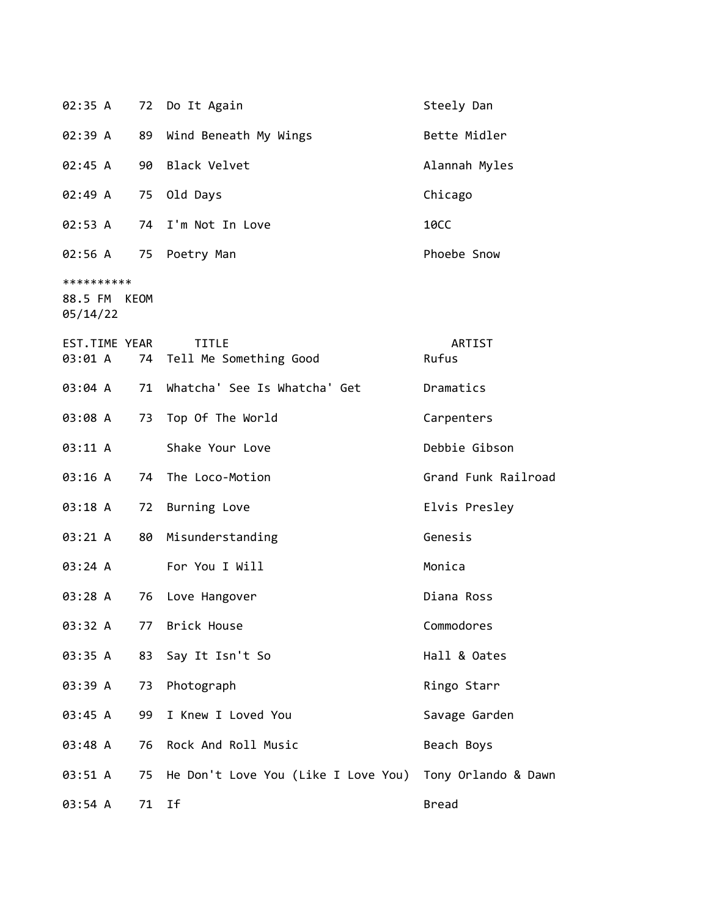| 02:35 A                                |    | 72 Do It Again                            | Steely Dan          |
|----------------------------------------|----|-------------------------------------------|---------------------|
| 02:39 A                                | 89 | Wind Beneath My Wings                     | Bette Midler        |
| 02:45 A                                |    | 90 Black Velvet                           | Alannah Myles       |
| 02:49 A                                | 75 | Old Days                                  | Chicago             |
| 02:53 A                                |    | 74 I'm Not In Love                        | <b>10CC</b>         |
| 02:56 A                                |    | 75 Poetry Man                             | Phoebe Snow         |
| **********<br>88.5 FM KEOM<br>05/14/22 |    |                                           |                     |
| EST.TIME YEAR<br>03:01 A               |    | <b>TITLE</b><br>74 Tell Me Something Good | ARTIST<br>Rufus     |
| 03:04 A                                | 71 | Whatcha' See Is Whatcha' Get              | Dramatics           |
| 03:08 A                                | 73 | Top Of The World                          | Carpenters          |
| 03:11 A                                |    | Shake Your Love                           | Debbie Gibson       |
| 03:16 A                                |    | 74 The Loco-Motion                        | Grand Funk Railroad |
| 03:18 A                                |    | 72 Burning Love                           | Elvis Presley       |
| 03:21 A                                | 80 | Misunderstanding                          | Genesis             |
| 03:24 A                                |    | For You I Will                            | Monica              |
| 03:28 A                                | 76 | Love Hangover                             | Diana Ross          |
| 03:32 A                                |    | 77 Brick House                            | Commodores          |
| 03:35 A                                | 83 | Say It Isn't So                           | Hall & Oates        |
| 03:39 A                                | 73 | Photograph                                | Ringo Starr         |
| 03:45 A                                | 99 | I Knew I Loved You                        | Savage Garden       |
| 03:48 A                                | 76 | Rock And Roll Music                       | Beach Boys          |
| 03:51 A                                | 75 | He Don't Love You (Like I Love You)       | Tony Orlando & Dawn |
| 03:54 A                                |    | 71 If                                     | <b>Bread</b>        |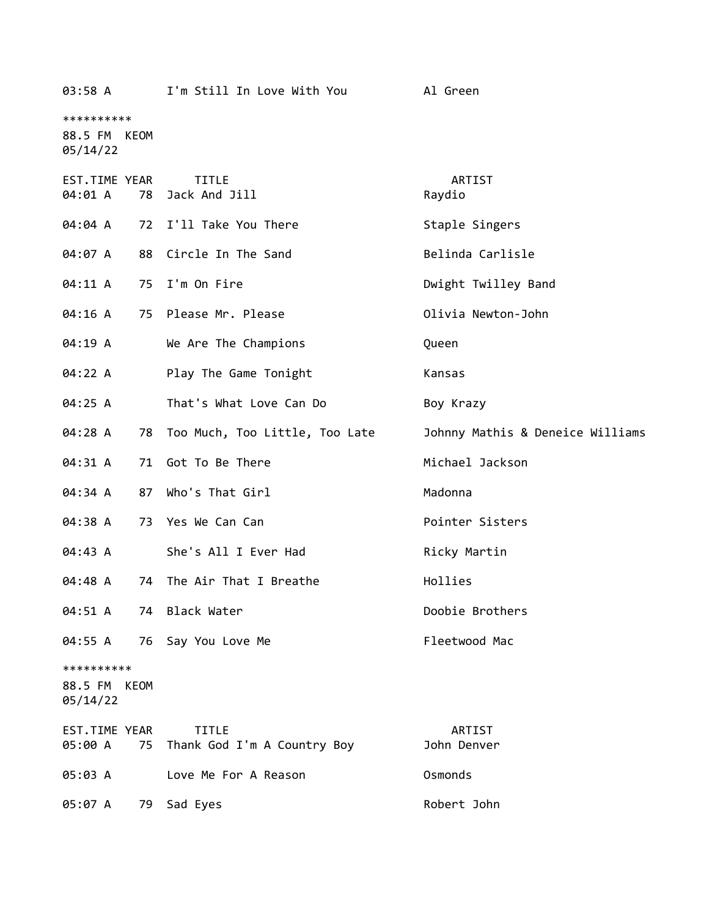| 03:58 A                  |    | I'm Still In Love With You                     | Al Green                         |
|--------------------------|----|------------------------------------------------|----------------------------------|
| **********               |    |                                                |                                  |
| 88.5 FM KEOM<br>05/14/22 |    |                                                |                                  |
| EST.TIME YEAR<br>04:01 A | 78 | <b>TITLE</b><br>Jack And Jill                  | ARTIST<br>Raydio                 |
| 04:04 A                  | 72 | I'll Take You There                            | Staple Singers                   |
| 04:07 A                  |    | 88 Circle In The Sand                          | Belinda Carlisle                 |
| 04:11 A                  |    | 75 I'm On Fire                                 | Dwight Twilley Band              |
| 04:16 A                  |    | 75 Please Mr. Please                           | Olivia Newton-John               |
| 04:19 A                  |    | We Are The Champions                           | Queen                            |
| 04:22 A                  |    | Play The Game Tonight                          | Kansas                           |
| 04:25 A                  |    | That's What Love Can Do                        | Boy Krazy                        |
| 04:28 A                  |    | 78 Too Much, Too Little, Too Late              | Johnny Mathis & Deneice Williams |
| 04:31 A                  | 71 | Got To Be There                                | Michael Jackson                  |
| 04:34 A                  | 87 | Who's That Girl                                | Madonna                          |
| 04:38 A                  |    | 73 Yes We Can Can                              | Pointer Sisters                  |
| 04:43 A                  |    | She's All I Ever Had                           | Ricky Martin                     |
| 04:48 A                  | 74 | The Air That I Breathe                         | Hollies                          |
| 04:51 A                  |    | 74 Black Water                                 | Doobie Brothers                  |
| 04:55 A                  |    | 76 Say You Love Me                             | Fleetwood Mac                    |
| **********               |    |                                                |                                  |
| 88.5 FM KEOM<br>05/14/22 |    |                                                |                                  |
| EST.TIME YEAR<br>05:00 A |    | <b>TITLE</b><br>75 Thank God I'm A Country Boy | ARTIST<br>John Denver            |
| 05:03 A                  |    | Love Me For A Reason                           | Osmonds                          |
| 05:07 A                  | 79 | Sad Eyes                                       | Robert John                      |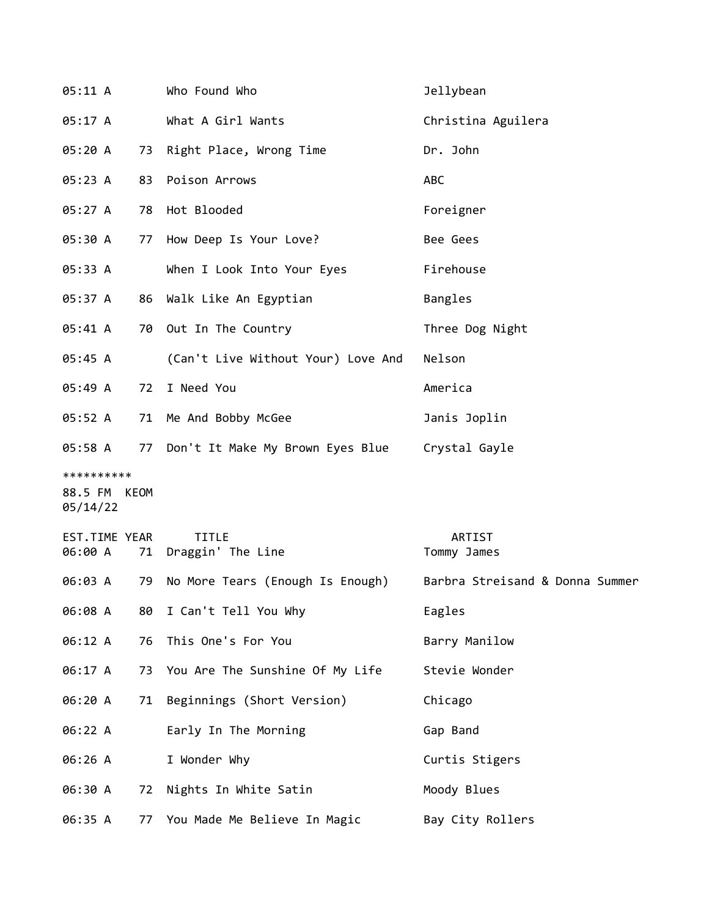| 05:11 A                                |    | Who Found Who                                                    | Jellybean             |
|----------------------------------------|----|------------------------------------------------------------------|-----------------------|
| 05:17 A                                |    | What A Girl Wants                                                | Christina Aguilera    |
| 05:20 A                                |    | 73 Right Place, Wrong Time                                       | Dr. John              |
| 05:23 A                                |    | 83 Poison Arrows                                                 | ABC                   |
| 05:27 A                                |    | 78 Hot Blooded                                                   | Foreigner             |
| 05:30 A                                |    | 77 How Deep Is Your Love?                                        | Bee Gees              |
| 05:33 A                                |    | When I Look Into Your Eyes                                       | Firehouse             |
| 05:37 A                                |    | 86 Walk Like An Egyptian                                         | Bangles               |
| 05:41 A                                |    | 70 Out In The Country                                            | Three Dog Night       |
| 05:45 A                                |    | (Can't Live Without Your) Love And                               | Nelson                |
| 05:49 A                                | 72 | I Need You                                                       | America               |
| 05:52 A                                |    | 71 Me And Bobby McGee                                            | Janis Joplin          |
| 05:58 A                                |    | 77 Don't It Make My Brown Eyes Blue                              | Crystal Gayle         |
| **********<br>88.5 FM KEOM<br>05/14/22 |    |                                                                  |                       |
| EST.TIME YEAR<br>06:00 A               |    |                                                                  |                       |
|                                        |    | <b>TITLE</b><br>71 Draggin' The Line                             | ARTIST<br>Tommy James |
| 06:03 A                                | 79 | No More Tears (Enough Is Enough) Barbra Streisand & Donna Summer |                       |
| 06:08 A                                | 80 | I Can't Tell You Why                                             | Eagles                |
| 06:12 A                                | 76 | This One's For You                                               | Barry Manilow         |
| 06:17 A                                |    | 73 You Are The Sunshine Of My Life                               | Stevie Wonder         |
| 06:20 A                                |    | 71 Beginnings (Short Version)                                    | Chicago               |
| 06:22 A                                |    | Early In The Morning                                             | Gap Band              |
| 06:26 A                                |    | I Wonder Why                                                     | Curtis Stigers        |
| 06:30 A                                | 72 | Nights In White Satin                                            | Moody Blues           |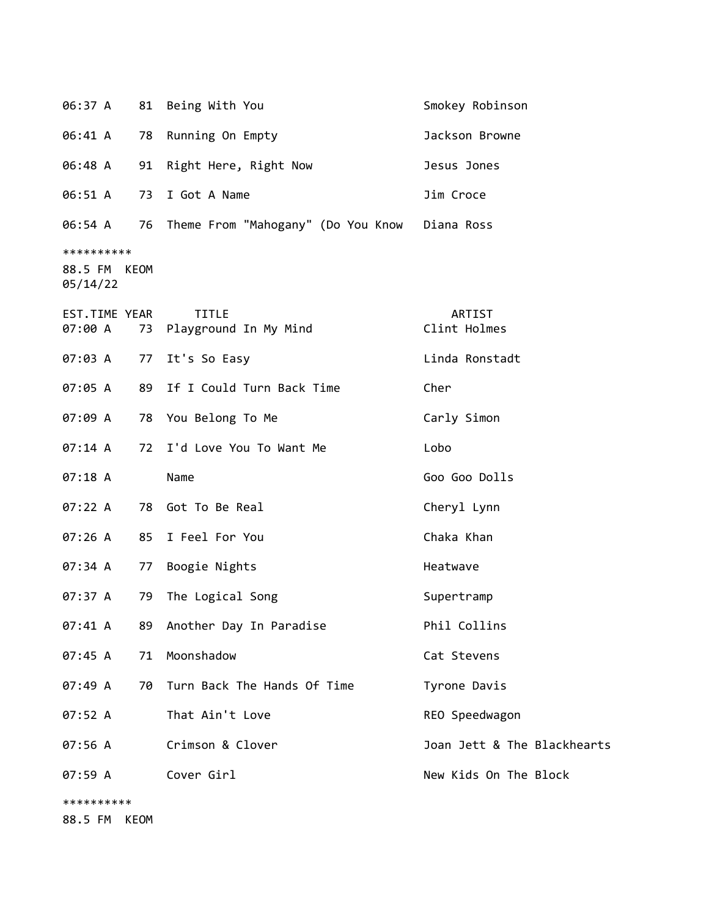| 06:37 A                                |      | 81 Being With You                             | Smokey Robinson             |
|----------------------------------------|------|-----------------------------------------------|-----------------------------|
| 06:41 A                                | 78   | Running On Empty                              | Jackson Browne              |
| 06:48 A                                | 91   | Right Here, Right Now                         | Jesus Jones                 |
| 06:51 A                                | 73   | I Got A Name                                  | Jim Croce                   |
| 06:54 A                                | 76   | Theme From "Mahogany" (Do You Know Diana Ross |                             |
| **********<br>88.5 FM KEOM<br>05/14/22 |      |                                               |                             |
| EST.TIME YEAR<br>07:00 A               | 73   | <b>TITLE</b><br>Playground In My Mind         | ARTIST<br>Clint Holmes      |
| 07:03 A                                | 77   | It's So Easy                                  | Linda Ronstadt              |
| 07:05 A                                | 89   | If I Could Turn Back Time                     | Cher                        |
| 07:09 A                                | 78   | You Belong To Me                              | Carly Simon                 |
| 07:14 A                                |      | 72 I'd Love You To Want Me                    | Lobo                        |
| 07:18 A                                |      | Name                                          | Goo Goo Dolls               |
| 07:22 A                                | 78   | Got To Be Real                                | Cheryl Lynn                 |
| 07:26A                                 | 85   | I Feel For You                                | Chaka Khan                  |
| 07:34 A                                | 77   | Boogie Nights                                 | Heatwave                    |
| 07:37 A                                | 79   | The Logical Song                              | Supertramp                  |
| 07:41 A                                | 89   | Another Day In Paradise                       | Phil Collins                |
| 07:45 A                                | 71   | Moonshadow                                    | Cat Stevens                 |
| 07:49 A                                | 70   | Turn Back The Hands Of Time                   | Tyrone Davis                |
| 07:52 A                                |      | That Ain't Love                               | REO Speedwagon              |
| 07:56 A                                |      | Crimson & Clover                              | Joan Jett & The Blackhearts |
| 07:59 A                                |      | Cover Girl                                    | New Kids On The Block       |
| **********<br>88.5 FM                  | KEOM |                                               |                             |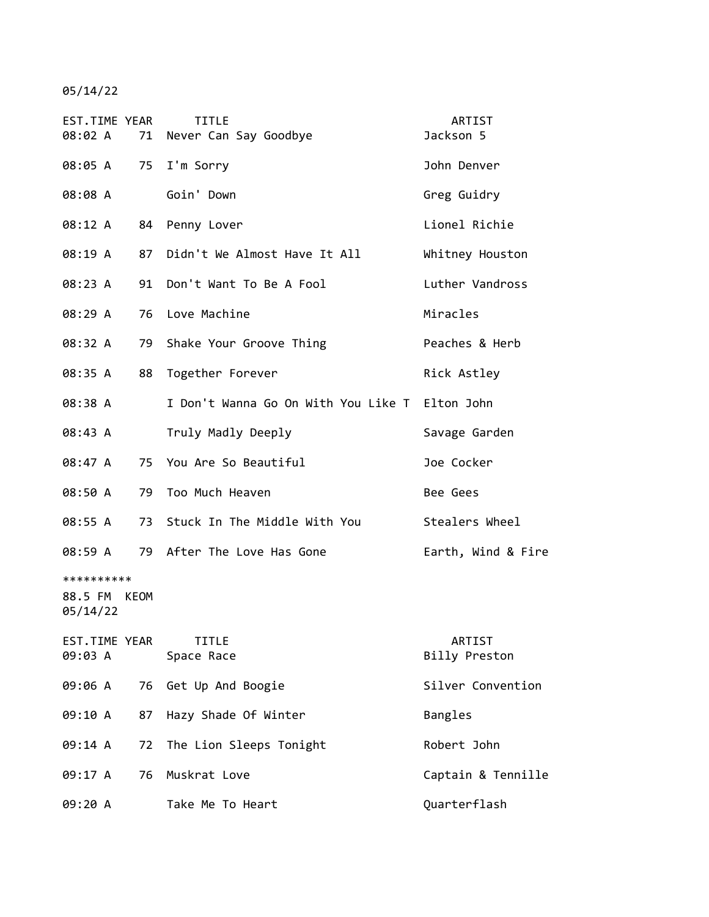05/14/22

| EST.TIME YEAR<br>08:02 A          |      | <b>TITLE</b><br>71 Never Can Say Goodbye       | ARTIST<br>Jackson 5     |
|-----------------------------------|------|------------------------------------------------|-------------------------|
|                                   |      | 08:05 A 75 I'm Sorry                           | John Denver             |
| 08:08 A                           |      | Goin' Down                                     | Greg Guidry             |
| 08:12 A                           |      | 84 Penny Lover                                 | Lionel Richie           |
| 08:19 A                           |      | 87 Didn't We Almost Have It All                | Whitney Houston         |
| 08:23 A                           | 91   | Don't Want To Be A Fool                        | Luther Vandross         |
| 08:29 A                           | 76   | Love Machine                                   | Miracles                |
| 08:32 A                           | 79   | Shake Your Groove Thing                        | Peaches & Herb          |
| 08:35 A                           | 88   | Together Forever                               | Rick Astley             |
| 08:38 A                           |      | I Don't Wanna Go On With You Like T Elton John |                         |
| 08:43 A                           |      | Truly Madly Deeply                             | Savage Garden           |
| 08:47 A                           |      | 75 You Are So Beautiful                        | Joe Cocker              |
| 08:50 A                           | 79   | Too Much Heaven                                | Bee Gees                |
| 08:55 A                           |      | 73 Stuck In The Middle With You                | Stealers Wheel          |
| 08:59 A                           |      | 79 After The Love Has Gone                     | Earth, Wind & Fire      |
| **********<br>88.5 FM<br>05/14/22 | KEOM |                                                |                         |
| EST.TIME YEAR<br>09:03 A          |      | <b>TITLE</b><br>Space Race                     | ARTIST<br>Billy Preston |
| 09:06 A                           |      | 76 Get Up And Boogie                           | Silver Convention       |
| 09:10 A                           | 87   | Hazy Shade Of Winter                           | Bangles                 |
| 09:14 A                           | 72   | The Lion Sleeps Tonight                        | Robert John             |
| 09:17 A                           | 76   | Muskrat Love                                   | Captain & Tennille      |
| 09:20 A                           |      | Take Me To Heart                               | Quarterflash            |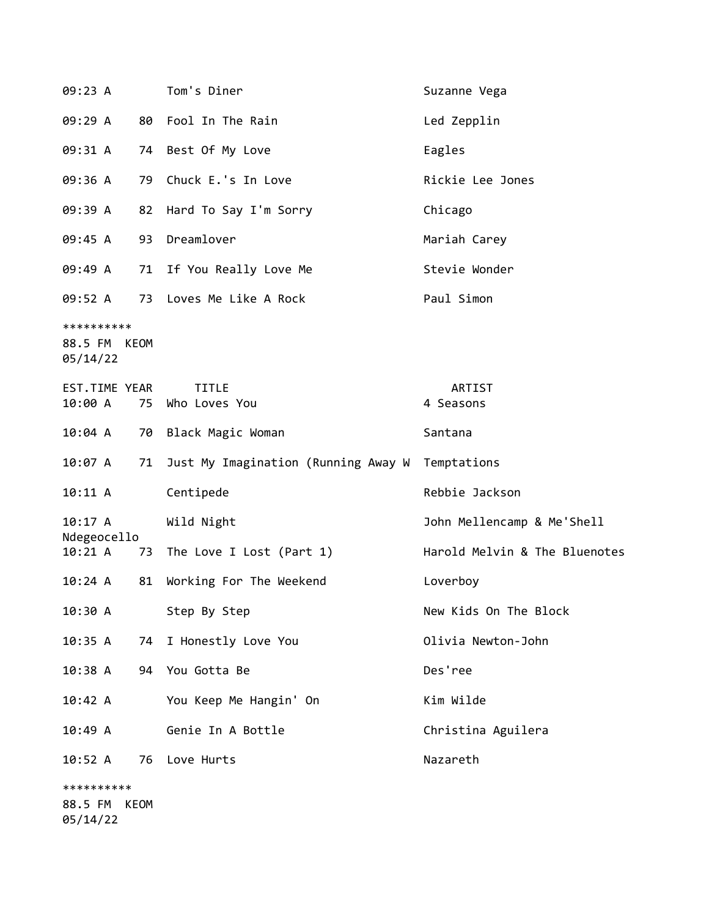| 09:23 A                                |    | Tom's Diner                         | Suzanne Vega                  |
|----------------------------------------|----|-------------------------------------|-------------------------------|
| 09:29 A                                |    | 80 Fool In The Rain                 | Led Zepplin                   |
| 09:31 A                                |    | 74 Best Of My Love                  | Eagles                        |
| 09:36 A                                | 79 | Chuck E.'s In Love                  | Rickie Lee Jones              |
| 09:39 A                                |    | 82 Hard To Say I'm Sorry            | Chicago                       |
| 09:45 A                                |    | 93 Dreamlover                       | Mariah Carey                  |
| 09:49 A                                |    | 71 If You Really Love Me            | Stevie Wonder                 |
| 09:52 A                                |    | 73 Loves Me Like A Rock             | Paul Simon                    |
| **********<br>88.5 FM KEOM<br>05/14/22 |    |                                     |                               |
| EST.TIME YEAR                          |    | <b>TITLE</b>                        | ARTIST                        |
| 10:00 A                                | 75 | Who Loves You                       | 4 Seasons                     |
| 10:04 A                                |    | 70 Black Magic Woman                | Santana                       |
| 10:07 A                                | 71 | Just My Imagination (Running Away W | Temptations                   |
| 10:11 A                                |    | Centipede                           | Rebbie Jackson                |
| 10:17 A<br>Ndegeocello                 |    | Wild Night                          | John Mellencamp & Me'Shell    |
| 10:21 A                                |    | 73 The Love I Lost (Part 1)         | Harold Melvin & The Bluenotes |
| 10:24 A                                | 81 | Working For The Weekend             | Loverboy                      |
| 10:30 A                                |    | Step By Step                        | New Kids On The Block         |
| 10:35 A                                | 74 | I Honestly Love You                 | Olivia Newton-John            |
| 10:38A                                 |    | 94 You Gotta Be                     | Des'ree                       |
| 10:42 A                                |    | You Keep Me Hangin' On              | Kim Wilde                     |
| 10:49A                                 |    | Genie In A Bottle                   | Christina Aguilera            |
| 10:52 A                                | 76 | Love Hurts                          | Nazareth                      |
| **********                             |    |                                     |                               |
| 88.5 FM KEOM<br>05/14/22               |    |                                     |                               |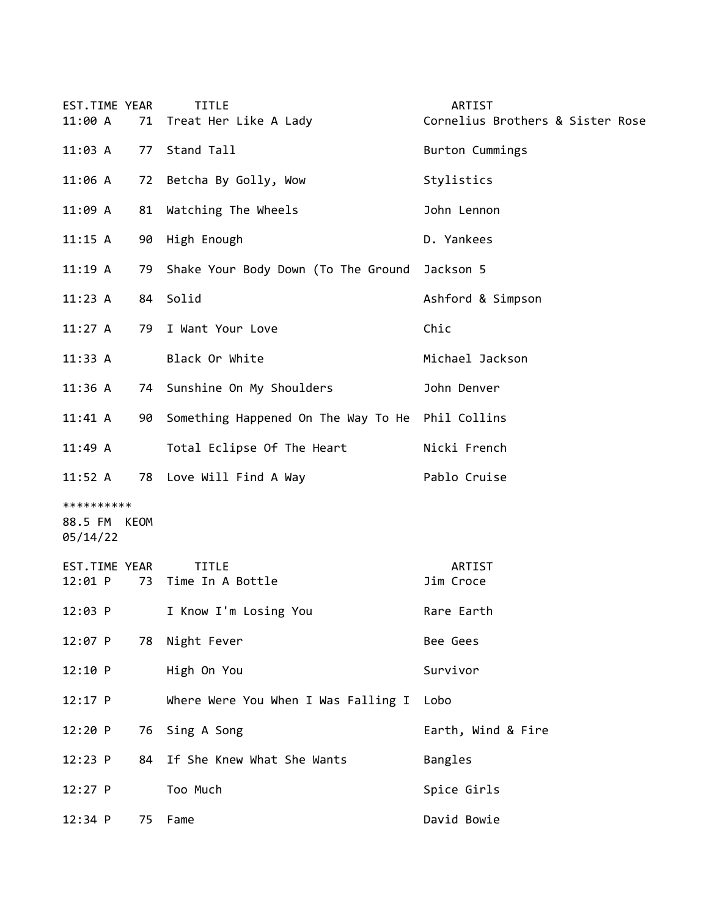| EST.TIME YEAR<br>11:00 A               |    | <b>TITLE</b><br>71 Treat Her Like A Lady            | ARTIST<br>Cornelius Brothers & Sister Rose |
|----------------------------------------|----|-----------------------------------------------------|--------------------------------------------|
| 11:03 A                                |    | 77 Stand Tall                                       | Burton Cummings                            |
| 11:06 A                                |    | 72 Betcha By Golly, Wow                             | Stylistics                                 |
| 11:09 A                                |    | 81 Watching The Wheels                              | John Lennon                                |
| 11:15 A                                |    | 90 High Enough                                      | D. Yankees                                 |
| 11:19A                                 |    | 79 Shake Your Body Down (To The Ground              | Jackson 5                                  |
| 11:23 A                                |    | 84 Solid                                            | Ashford & Simpson                          |
|                                        |    | 11:27 A 79 I Want Your Love                         | Chic                                       |
| 11:33 A                                |    | Black Or White                                      | Michael Jackson                            |
| 11:36 A                                |    | 74 Sunshine On My Shoulders                         | John Denver                                |
| $11:41 \; A$                           |    | 90 Something Happened On The Way To He Phil Collins |                                            |
| 11:49 A                                |    | Total Eclipse Of The Heart                          | Nicki French                               |
|                                        |    | 11:52 A 78 Love Will Find A Way                     | Pablo Cruise                               |
| **********<br>88.5 FM KEOM<br>05/14/22 |    |                                                     |                                            |
| EST.TIME YEAR<br>$12:01$ P             |    | <b>TITLE</b><br>73 Time In A Bottle                 | ARTIST<br>Jim Croce                        |
| 12:03 P                                |    | I Know I'm Losing You                               | Rare Earth                                 |
| 12:07 P                                | 78 | Night Fever                                         | Bee Gees                                   |
| 12:10 P                                |    | High On You                                         | Survivor                                   |
| 12:17 P                                |    | Where Were You When I Was Falling I                 | Lobo                                       |
| 12:20 P                                |    | 76 Sing A Song                                      | Earth, Wind & Fire                         |
| 12:23 P                                | 84 | If She Knew What She Wants                          | Bangles                                    |
| $12:27$ P                              |    | Too Much                                            | Spice Girls                                |
| 12:34 P                                |    | 75 Fame                                             | David Bowie                                |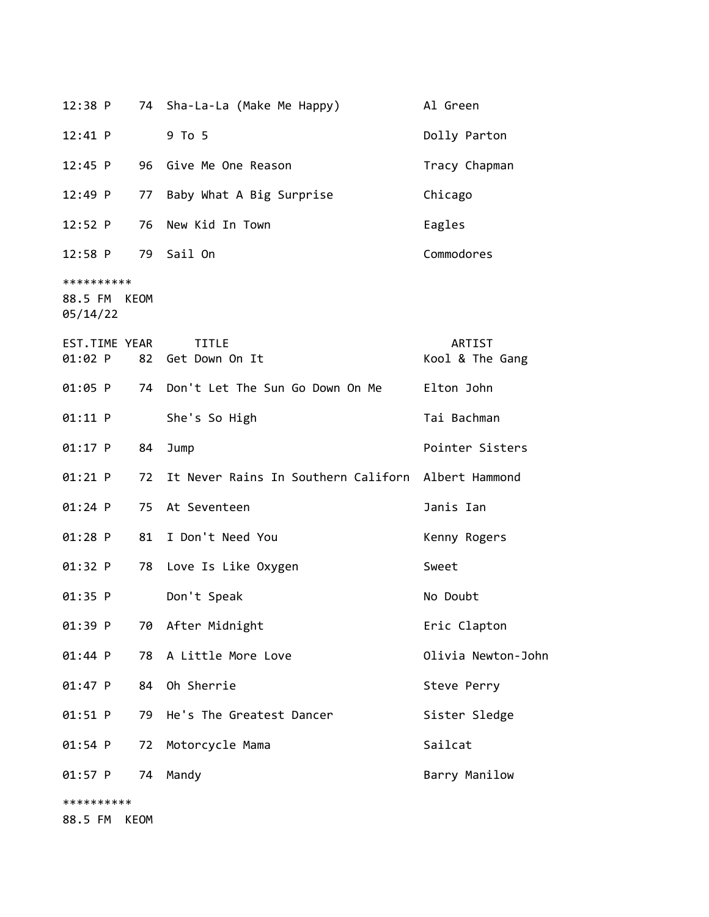| 12:38 P                                |      | 74 Sha-La-La (Make Me Happy)                       | Al Green                  |
|----------------------------------------|------|----------------------------------------------------|---------------------------|
| 12:41 P                                |      | 9 To 5                                             | Dolly Parton              |
| 12:45 P                                |      | 96 Give Me One Reason                              | Tracy Chapman             |
| 12:49 P                                |      | 77 Baby What A Big Surprise                        | Chicago                   |
| 12:52 P                                | 76   | New Kid In Town                                    | Eagles                    |
| 12:58 P                                |      | 79 Sail On                                         | Commodores                |
| **********<br>88.5 FM KEOM<br>05/14/22 |      |                                                    |                           |
| EST.TIME YEAR<br>01:02 P               |      | <b>TITLE</b><br>82 Get Down On It                  | ARTIST<br>Kool & The Gang |
| 01:05 P                                |      | 74 Don't Let The Sun Go Down On Me                 | Elton John                |
| $01:11$ P                              |      | She's So High                                      | Tai Bachman               |
| $01:17$ P                              | 84   | Jump                                               | Pointer Sisters           |
| 01:21 P                                | 72   | It Never Rains In Southern Californ Albert Hammond |                           |
| 01:24 P                                |      | 75 At Seventeen                                    | Janis Ian                 |
| 01:28 P                                | 81   | I Don't Need You                                   | Kenny Rogers              |
| 01:32 P                                |      | 78 Love Is Like Oxygen                             | Sweet                     |
| 01:35 P                                |      | Don't Speak                                        | No Doubt                  |
| 01:39 P                                |      | 70 After Midnight                                  | Eric Clapton              |
| 01:44 P                                | 78   | A Little More Love                                 | Olivia Newton-John        |
| 01:47 P                                |      | 84 Oh Sherrie                                      | Steve Perry               |
| $01:51$ P                              | 79   | He's The Greatest Dancer                           | Sister Sledge             |
| 01:54 P                                | 72   | Motorcycle Mama                                    | Sailcat                   |
| 01:57 P                                | 74   | Mandy                                              | Barry Manilow             |
| **********                             |      |                                                    |                           |
| 88.5 FM                                | KEOM |                                                    |                           |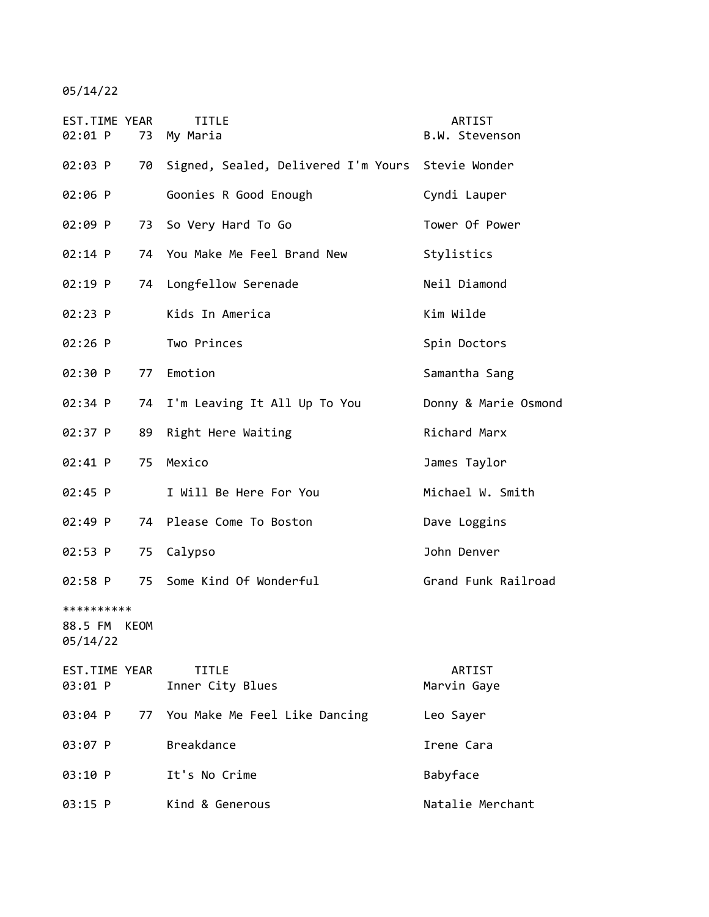05/14/22

| EST.TIME YEAR<br>02:01 P    | <b>TITLE</b><br>73 My Maria                       | ARTIST<br>B.W. Stevenson |
|-----------------------------|---------------------------------------------------|--------------------------|
| 02:03 P<br>70               | Signed, Sealed, Delivered I'm Yours Stevie Wonder |                          |
| 02:06 P                     | Goonies R Good Enough                             | Cyndi Lauper             |
| 02:09 P<br>73               | So Very Hard To Go                                | Tower Of Power           |
| 02:14 P<br>74               | You Make Me Feel Brand New                        | Stylistics               |
| 02:19 P<br>74               | Longfellow Serenade                               | Neil Diamond             |
| 02:23 P                     | Kids In America                                   | Kim Wilde                |
| $02:26$ P                   | Two Princes                                       | Spin Doctors             |
| 02:30 P<br>77               | Emotion                                           | Samantha Sang            |
| 02:34 P<br>74               | I'm Leaving It All Up To You                      | Donny & Marie Osmond     |
| 02:37 P<br>89               | Right Here Waiting                                | Richard Marx             |
| 02:41 P<br>75               | Mexico                                            | James Taylor             |
| $02:45$ P                   | I Will Be Here For You                            | Michael W. Smith         |
| $02:49$ P                   | 74 Please Come To Boston                          | Dave Loggins             |
| 02:53 P<br>75               | Calypso                                           | John Denver              |
| $02:58$ P<br>75             | Some Kind Of Wonderful                            | Grand Funk Railroad      |
| **********                  |                                                   |                          |
| 88.5 FM<br>KEOM<br>05/14/22 |                                                   |                          |
| EST.TIME YEAR<br>03:01 P    | <b>TITLE</b><br>Inner City Blues                  | ARTIST<br>Marvin Gaye    |
| 03:04 P<br>77               | You Make Me Feel Like Dancing                     | Leo Sayer                |
| 03:07 P                     | <b>Breakdance</b>                                 | Irene Cara               |
| 03:10 P                     | It's No Crime                                     | Babyface                 |
| 03:15 P                     | Kind & Generous                                   | Natalie Merchant         |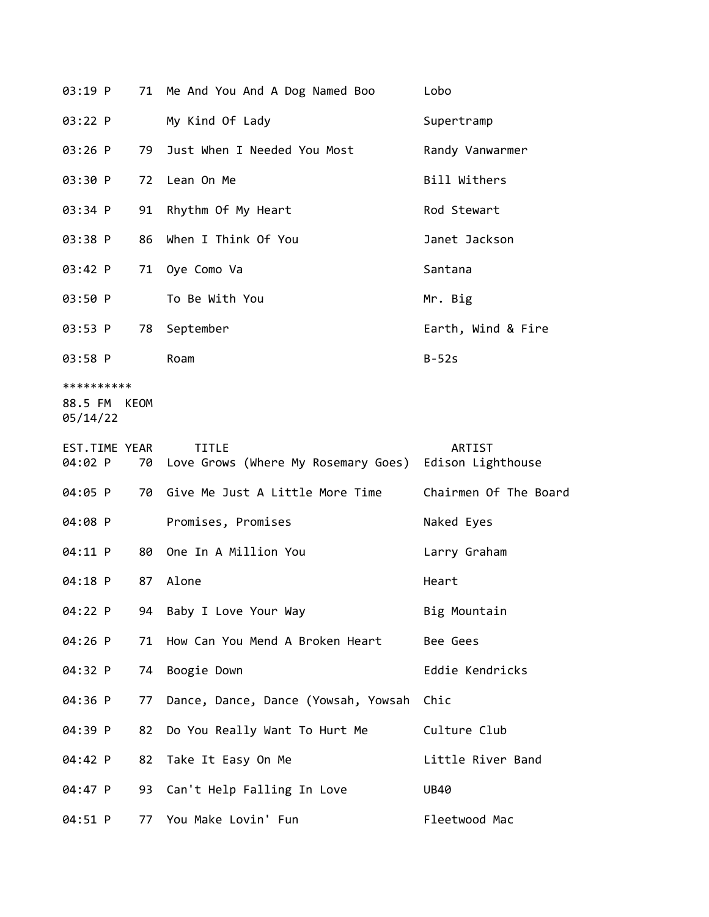| 03:19 P                           |      | 71 Me And You And A Dog Named Boo                                     | Lobo                  |
|-----------------------------------|------|-----------------------------------------------------------------------|-----------------------|
| 03:22 P                           |      | My Kind Of Lady                                                       | Supertramp            |
| $03:26$ P                         | 79   | Just When I Needed You Most                                           | Randy Vanwarmer       |
| 03:30 P                           |      | 72 Lean On Me                                                         | Bill Withers          |
| 03:34 P                           | 91   | Rhythm Of My Heart                                                    | Rod Stewart           |
| 03:38 P                           |      | 86 When I Think Of You                                                | Janet Jackson         |
| 03:42 P                           |      | 71 Oye Como Va                                                        | Santana               |
| 03:50 P                           |      | To Be With You                                                        | Mr. Big               |
| 03:53 P                           | 78   | September                                                             | Earth, Wind & Fire    |
| 03:58 P                           |      | Roam                                                                  | $B-52s$               |
| **********<br>88.5 FM<br>05/14/22 | KEOM |                                                                       |                       |
| EST.TIME YEAR<br>04:02 P          | 70   | <b>TITLE</b><br>Love Grows (Where My Rosemary Goes) Edison Lighthouse | ARTIST                |
| 04:05 P                           |      | 70 Give Me Just A Little More Time                                    | Chairmen Of The Board |
|                                   |      |                                                                       |                       |
| 04:08 P                           |      | Promises, Promises                                                    | Naked Eyes            |
| 04:11 P                           | 80   | One In A Million You                                                  | Larry Graham          |
| 04:18 P                           | 87   | Alone                                                                 | Heart                 |
| 04:22 P                           | 94   | Baby I Love Your Way                                                  | Big Mountain          |
| 04:26 P                           | 71   | How Can You Mend A Broken Heart                                       | Bee Gees              |
| 04:32 P                           | 74   | Boogie Down                                                           | Eddie Kendricks       |
| 04:36 P                           | 77   | Dance, Dance, Dance (Yowsah, Yowsah                                   | Chic                  |
| 04:39 P                           | 82   | Do You Really Want To Hurt Me                                         | Culture Club          |
| 04:42 P                           | 82   | Take It Easy On Me                                                    | Little River Band     |
| 04:47 P                           | 93   | Can't Help Falling In Love                                            | <b>UB40</b>           |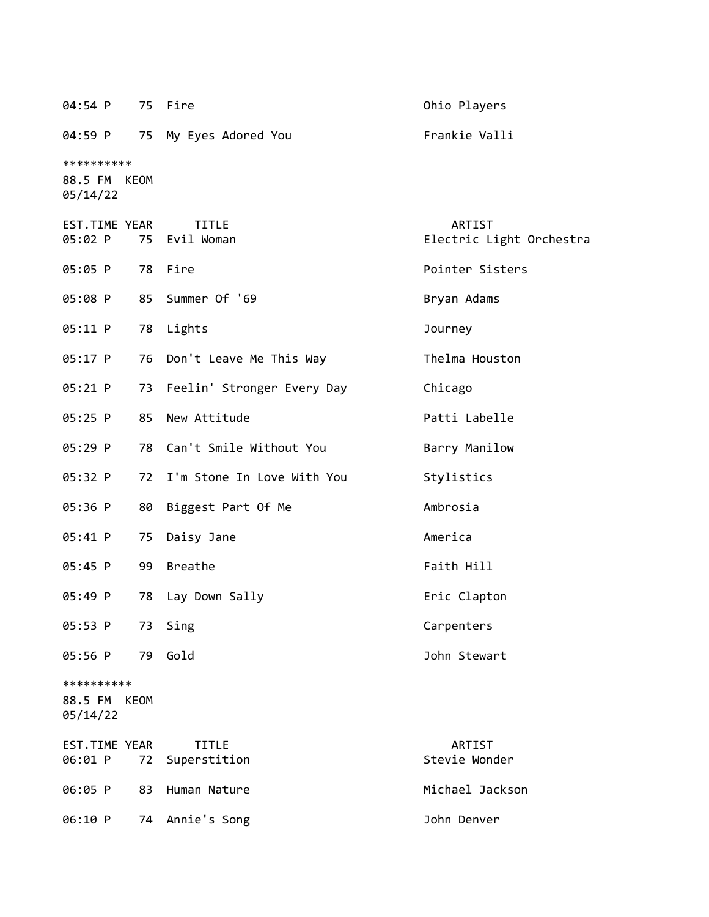| 04:54 P                                |             | 75 Fire                       | Ohio Players                       |
|----------------------------------------|-------------|-------------------------------|------------------------------------|
| 04:59 P                                | 75          | My Eyes Adored You            | Frankie Valli                      |
| **********<br>88.5 FM KEOM<br>05/14/22 |             |                               |                                    |
| EST.TIME YEAR<br>05:02 P               |             | <b>TITLE</b><br>75 Evil Woman | ARTIST<br>Electric Light Orchestra |
| 05:05 P                                |             | 78 Fire                       | Pointer Sisters                    |
| 05:08 P                                |             | 85 Summer Of '69              | Bryan Adams                        |
| 05:11 P                                |             | 78 Lights                     | Journey                            |
| 05:17 P                                |             | 76 Don't Leave Me This Way    | Thelma Houston                     |
| 05:21 P                                |             | 73 Feelin' Stronger Every Day | Chicago                            |
| 05:25 P                                | 85          | New Attitude                  | Patti Labelle                      |
| 05:29 P                                |             | 78 Can't Smile Without You    | Barry Manilow                      |
| 05:32 P                                |             | 72 I'm Stone In Love With You | Stylistics                         |
| 05:36 P                                | 80          | Biggest Part Of Me            | Ambrosia                           |
| 05:41 P                                | 75          | Daisy Jane                    | America                            |
| $05:45$ P                              | 99          | <b>Breathe</b>                | Faith Hill                         |
| 05:49 P                                | 78          | Lay Down Sally                | Eric Clapton                       |
| 05:53 P                                | 73          | Sing                          | Carpenters                         |
| 05:56 P                                | 79          | Gold                          | John Stewart                       |
| **********<br>88.5 FM<br>05/14/22      | <b>KEOM</b> |                               |                                    |
| EST.TIME YEAR<br>06:01 P               | 72          | <b>TITLE</b><br>Superstition  | ARTIST<br>Stevie Wonder            |
| 06:05 P                                | 83          | Human Nature                  | Michael Jackson                    |
| 06:10 P                                | 74          | Annie's Song                  | John Denver                        |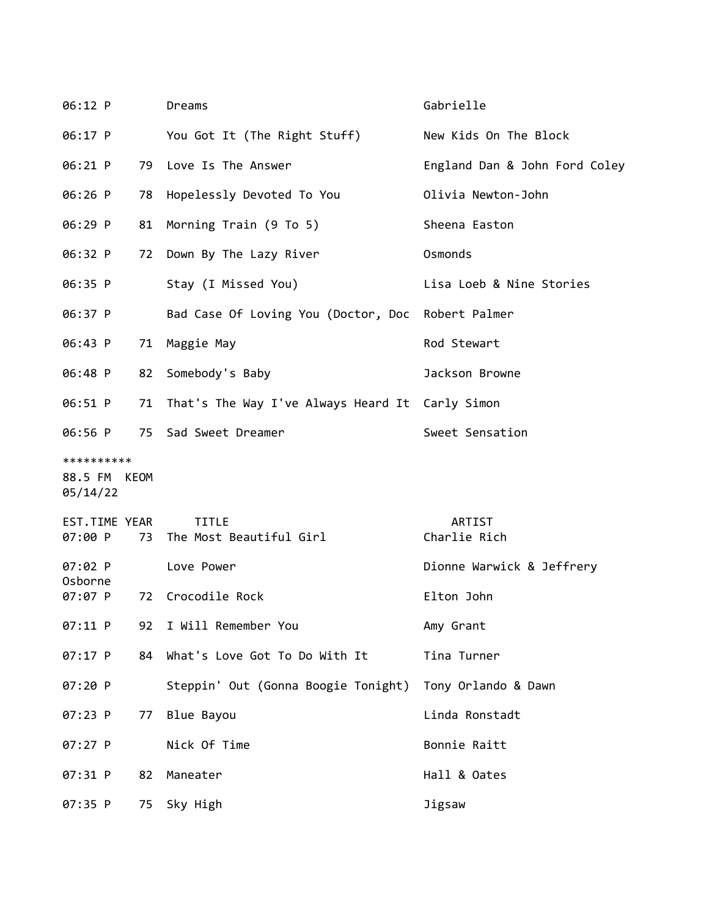| 06:12 P                                |    | Dreams                                                  | Gabrielle                     |
|----------------------------------------|----|---------------------------------------------------------|-------------------------------|
| 06:17 P                                |    | You Got It (The Right Stuff)                            | New Kids On The Block         |
| $06:21$ P                              |    | 79 Love Is The Answer                                   | England Dan & John Ford Coley |
| 06:26 P                                |    | 78 Hopelessly Devoted To You                            | Olivia Newton-John            |
| 06:29 P                                | 81 | Morning Train (9 To 5)                                  | Sheena Easton                 |
| 06:32 P                                |    | 72 Down By The Lazy River                               | Osmonds                       |
| 06:35 P                                |    | Stay (I Missed You)                                     | Lisa Loeb & Nine Stories      |
| 06:37 P                                |    | Bad Case Of Loving You (Doctor, Doc                     | Robert Palmer                 |
| 06:43 P                                | 71 | Maggie May                                              | Rod Stewart                   |
| 06:48 P                                | 82 | Somebody's Baby                                         | Jackson Browne                |
| 06:51 P                                |    | 71 That's The Way I've Always Heard It Carly Simon      |                               |
| 06:56 P                                |    | 75 Sad Sweet Dreamer                                    | Sweet Sensation               |
| **********<br>88.5 FM KEOM<br>05/14/22 |    |                                                         |                               |
| EST.TIME YEAR<br>07:00 P               | 73 | <b>TITLE</b><br>The Most Beautiful Girl                 | ARTIST<br>Charlie Rich        |
| $07:02$ P<br>Osborne                   |    | Love Power                                              | Dionne Warwick & Jeffrery     |
| 07:07 P                                |    | 72 Crocodile Rock                                       | Elton John                    |
| 07:11 P                                | 92 | I Will Remember You                                     | Amy Grant                     |
| 07:17 P                                | 84 | What's Love Got To Do With It                           | Tina Turner                   |
| 07:20 P                                |    | Steppin' Out (Gonna Boogie Tonight) Tony Orlando & Dawn |                               |
| 07:23 P                                | 77 | Blue Bayou                                              | Linda Ronstadt                |
| 07:27 P                                |    | Nick Of Time                                            | Bonnie Raitt                  |
| 07:31 P                                | 82 | Maneater                                                | Hall & Oates                  |
| 07:35 P                                |    | 75 Sky High                                             | Jigsaw                        |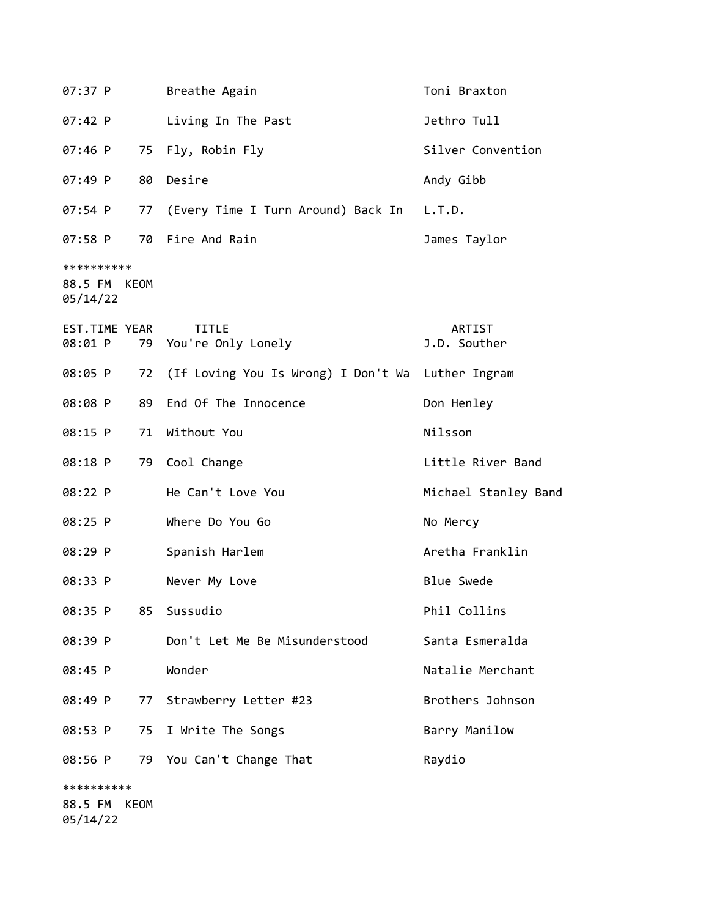| 07:37 P                                | Breathe Again                                        | Toni Braxton           |
|----------------------------------------|------------------------------------------------------|------------------------|
| 07:42 P                                | Living In The Past                                   | Jethro Tull            |
| $07:46$ P                              | 75 Fly, Robin Fly                                    | Silver Convention      |
| 80<br>$07:49$ P                        | Desire                                               | Andy Gibb              |
| $07:54$ P                              | 77 (Every Time I Turn Around) Back In L.T.D.         |                        |
| 07:58 P                                | 70 Fire And Rain                                     | James Taylor           |
| **********<br>88.5 FM KEOM<br>05/14/22 |                                                      |                        |
| EST.TIME YEAR<br>08:01 P               | <b>TITLE</b><br>79 You're Only Lonely                | ARTIST<br>J.D. Souther |
| 08:05 P                                | 72 (If Loving You Is Wrong) I Don't Wa Luther Ingram |                        |
| 08:08 P<br>89                          | End Of The Innocence                                 | Don Henley             |
| 08:15 P<br>71                          | Without You                                          | Nilsson                |
| 08:18 P<br>79                          | Cool Change                                          | Little River Band      |
| 08:22 P                                | He Can't Love You                                    | Michael Stanley Band   |
| 08:25 P                                | Where Do You Go                                      | No Mercy               |
| 08:29 P                                | Spanish Harlem                                       | Aretha Franklin        |
| 08:33 P                                | Never My Love                                        | <b>Blue Swede</b>      |
| 08:35 P<br>85                          | Sussudio                                             | Phil Collins           |
| 08:39 P                                | Don't Let Me Be Misunderstood                        | Santa Esmeralda        |
| 08:45 P                                | Wonder                                               | Natalie Merchant       |
| 08:49 P<br>77                          | Strawberry Letter #23                                | Brothers Johnson       |
| 08:53 P<br>75                          | I Write The Songs                                    | Barry Manilow          |
| 08:56 P<br>79                          | You Can't Change That                                | Raydio                 |
| **********                             |                                                      |                        |
| 88.5 FM<br>KEOM<br>05/14/22            |                                                      |                        |
|                                        |                                                      |                        |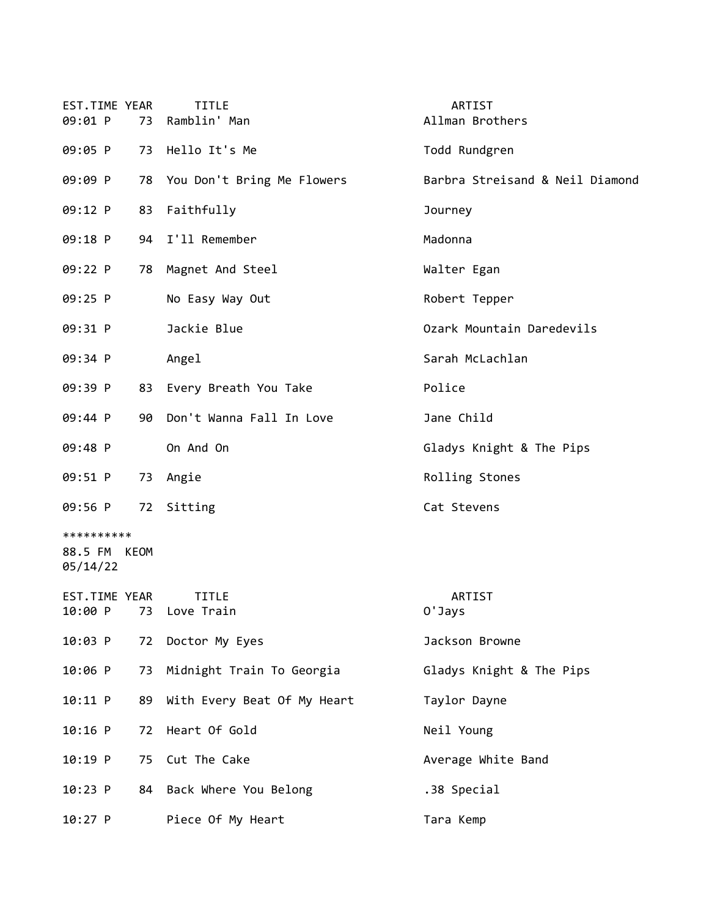| EST.TIME YEAR<br>09:01 P               | 73 | <b>TITLE</b><br>Ramblin' Man          | ARTIST<br>Allman Brothers       |
|----------------------------------------|----|---------------------------------------|---------------------------------|
| 09:05 P                                | 73 | Hello It's Me                         | Todd Rundgren                   |
| 09:09 P                                |    | 78 You Don't Bring Me Flowers         | Barbra Streisand & Neil Diamond |
| 09:12 P                                | 83 | Faithfully                            | Journey                         |
| 09:18 P                                | 94 | I'll Remember                         | Madonna                         |
| 09:22 P                                |    | 78 Magnet And Steel                   | Walter Egan                     |
| 09:25 P                                |    | No Easy Way Out                       | Robert Tepper                   |
| 09:31 P                                |    | Jackie Blue                           | Ozark Mountain Daredevils       |
| 09:34 P                                |    | Angel                                 | Sarah McLachlan                 |
| 09:39 P                                |    | 83 Every Breath You Take              | Police                          |
| 09:44 P                                | 90 | Don't Wanna Fall In Love              | Jane Child                      |
| 09:48 P                                |    | On And On                             | Gladys Knight & The Pips        |
| 09:51 P                                |    | 73 Angie                              | Rolling Stones                  |
| 09:56 P                                | 72 | Sitting                               | Cat Stevens                     |
| **********<br>88.5 FM KEOM<br>05/14/22 |    |                                       |                                 |
| EST.TIME YEAR                          |    | <b>TITLE</b><br>10:00 P 73 Love Train | ARTIST<br>0'Jays                |
| 10:03 P                                | 72 | Doctor My Eyes                        | Jackson Browne                  |
| 10:06 P                                |    | 73 Midnight Train To Georgia          | Gladys Knight & The Pips        |
| $10:11$ P                              | 89 | With Every Beat Of My Heart           | Taylor Dayne                    |
| $10:16$ P                              | 72 | Heart Of Gold                         | Neil Young                      |
| $10:19$ P                              | 75 | Cut The Cake                          | Average White Band              |
| 10:23 P                                | 84 | Back Where You Belong                 | .38 Special                     |
| 10:27 P                                |    | Piece Of My Heart                     | Tara Kemp                       |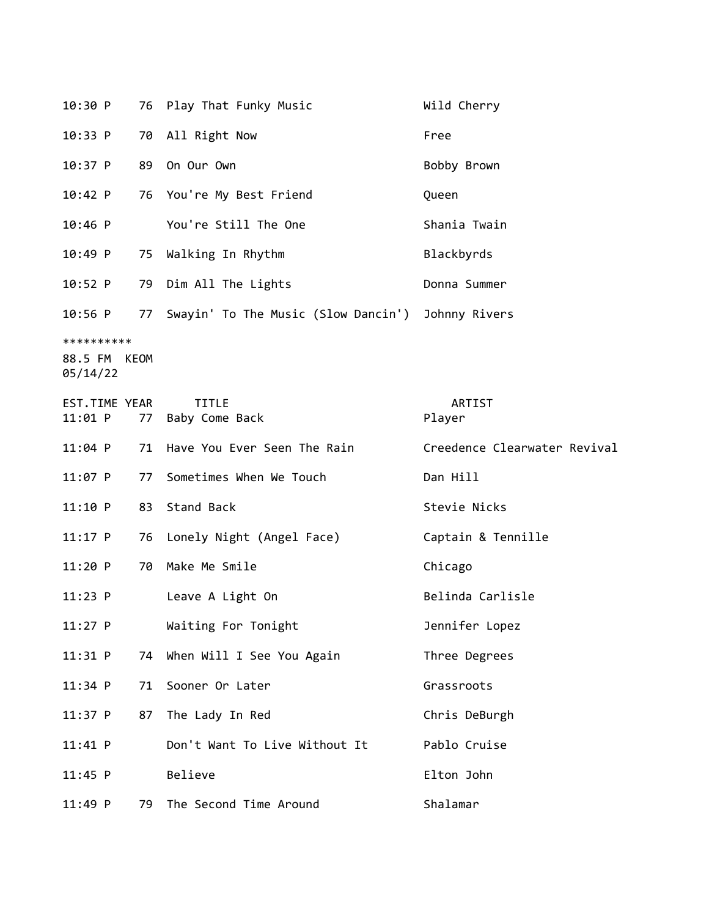| 10:30 P                  |    | 76 Play That Funky Music               | Wild Cherry                  |
|--------------------------|----|----------------------------------------|------------------------------|
| 10:33 P                  |    | 70 All Right Now                       | Free                         |
| $10:37$ P                |    | 89 On Our Own                          | Bobby Brown                  |
| 10:42 P                  |    | 76 You're My Best Friend               | Queen                        |
| $10:46$ P                |    | You're Still The One                   | Shania Twain                 |
| 10:49 P                  |    | 75 Walking In Rhythm                   | Blackbyrds                   |
| $10:52$ P                |    | 79 Dim All The Lights                  | Donna Summer                 |
| $10:56$ P                |    | 77 Swayin' To The Music (Slow Dancin') | Johnny Rivers                |
| **********               |    |                                        |                              |
| 88.5 FM KEOM<br>05/14/22 |    |                                        |                              |
| EST.TIME YEAR            |    | <b>TITLE</b>                           | ARTIST                       |
| 11:01 P                  | 77 | Baby Come Back                         | Player                       |
| $11:04$ P                |    | 71 Have You Ever Seen The Rain         | Creedence Clearwater Revival |
| $11:07$ P                | 77 | Sometimes When We Touch                | Dan Hill                     |
| 11:10 P                  | 83 | Stand Back                             | Stevie Nicks                 |
| $11:17$ P                | 76 | Lonely Night (Angel Face)              | Captain & Tennille           |
| 11:20 P                  | 70 | Make Me Smile                          | Chicago                      |
| $11:23$ P                |    | Leave A Light On                       | Belinda Carlisle             |
| 11:27 P                  |    | Waiting For Tonight                    | Jennifer Lopez               |
| 11:31 P                  | 74 | When Will I See You Again              | Three Degrees                |
| $11:34$ P                | 71 | Sooner Or Later                        | Grassroots                   |
| $11:37$ P                | 87 | The Lady In Red                        | Chris DeBurgh                |
| 11:41 P                  |    | Don't Want To Live Without It          | Pablo Cruise                 |
| $11:45$ P                |    | Believe                                | Elton John                   |
| $11:49$ P                | 79 | The Second Time Around                 | Shalamar                     |